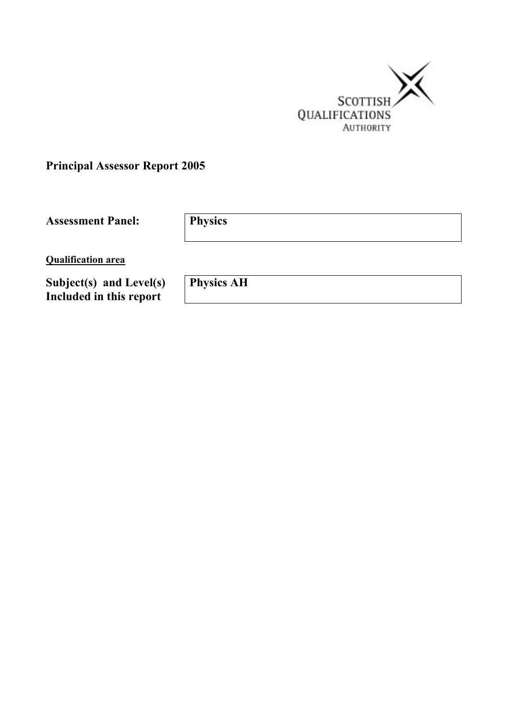

**Principal Assessor Report 2005** 

**Assessment Panel: Physics** 

**Qualification area**

**Subject(s) and Level(s) Included in this report** 

**Physics AH**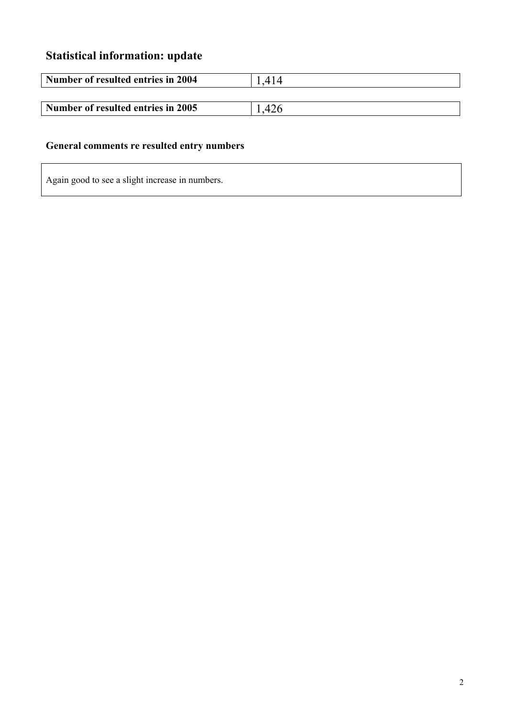# **Statistical information: update**

| Number of resulted entries in 2004 | 414       |
|------------------------------------|-----------|
|                                    |           |
| Number of resulted entries in 2005 | $\Lambda$ |

## **General comments re resulted entry numbers**

Again good to see a slight increase in numbers.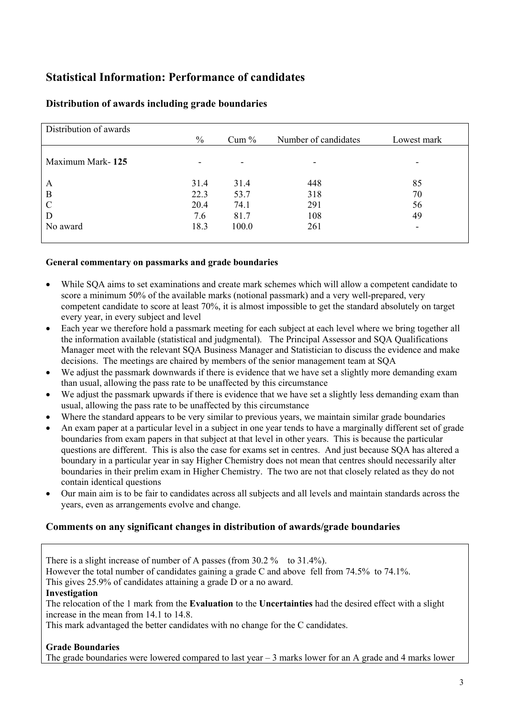## **Statistical Information: Performance of candidates**

| Distribution of awards |      |         |                      |             |
|------------------------|------|---------|----------------------|-------------|
|                        | $\%$ | $Cum\%$ | Number of candidates | Lowest mark |
|                        |      |         |                      |             |
| Maximum Mark-125       | ۰    | ۰       |                      |             |
|                        |      |         |                      |             |
| A                      | 31.4 | 31.4    | 448                  | 85          |
| B                      | 22.3 | 53.7    | 318                  | 70          |
| C                      | 20.4 | 74.1    | 291                  | 56          |
| D                      | 7.6  | 81.7    | 108                  | 49          |
| No award               | 18.3 | 100.0   | 261                  | -           |
|                        |      |         |                      |             |

## **Distribution of awards including grade boundaries**

#### **General commentary on passmarks and grade boundaries**

- While SQA aims to set examinations and create mark schemes which will allow a competent candidate to score a minimum 50% of the available marks (notional passmark) and a very well-prepared, very competent candidate to score at least 70%, it is almost impossible to get the standard absolutely on target every year, in every subject and level
- Each year we therefore hold a passmark meeting for each subject at each level where we bring together all the information available (statistical and judgmental). The Principal Assessor and SQA Qualifications Manager meet with the relevant SQA Business Manager and Statistician to discuss the evidence and make decisions. The meetings are chaired by members of the senior management team at SQA
- We adjust the passmark downwards if there is evidence that we have set a slightly more demanding exam than usual, allowing the pass rate to be unaffected by this circumstance
- We adjust the passmark upwards if there is evidence that we have set a slightly less demanding exam than usual, allowing the pass rate to be unaffected by this circumstance
- Where the standard appears to be very similar to previous years, we maintain similar grade boundaries
- An exam paper at a particular level in a subject in one year tends to have a marginally different set of grade boundaries from exam papers in that subject at that level in other years. This is because the particular questions are different. This is also the case for exams set in centres. And just because SQA has altered a boundary in a particular year in say Higher Chemistry does not mean that centres should necessarily alter boundaries in their prelim exam in Higher Chemistry. The two are not that closely related as they do not contain identical questions
- Our main aim is to be fair to candidates across all subjects and all levels and maintain standards across the years, even as arrangements evolve and change.

## **Comments on any significant changes in distribution of awards/grade boundaries**

There is a slight increase of number of A passes (from 30.2 % to 31.4%). However the total number of candidates gaining a grade C and above fell from 74.5% to 74.1%. This gives 25.9% of candidates attaining a grade D or a no award. **Investigation** 

The relocation of the 1 mark from the **Evaluation** to the **Uncertainties** had the desired effect with a slight increase in the mean from 14.1 to 14.8.

This mark advantaged the better candidates with no change for the C candidates.

#### **Grade Boundaries**

The grade boundaries were lowered compared to last year  $-3$  marks lower for an A grade and 4 marks lower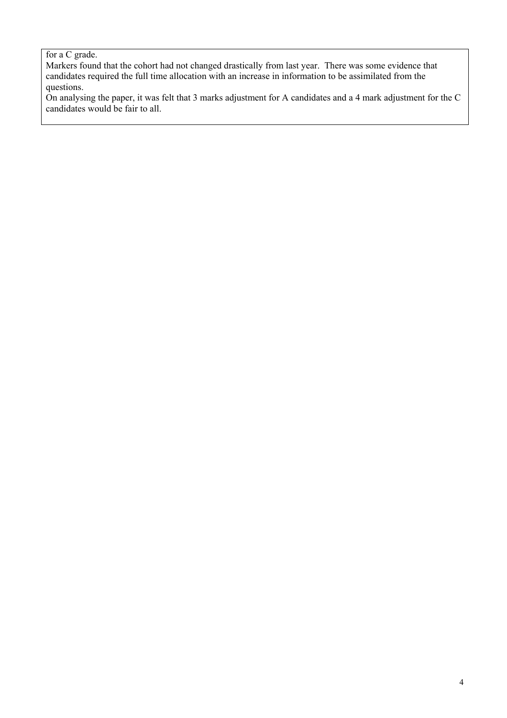### for a C grade.

Markers found that the cohort had not changed drastically from last year. There was some evidence that candidates required the full time allocation with an increase in information to be assimilated from the questions.

On analysing the paper, it was felt that 3 marks adjustment for A candidates and a 4 mark adjustment for the C candidates would be fair to all.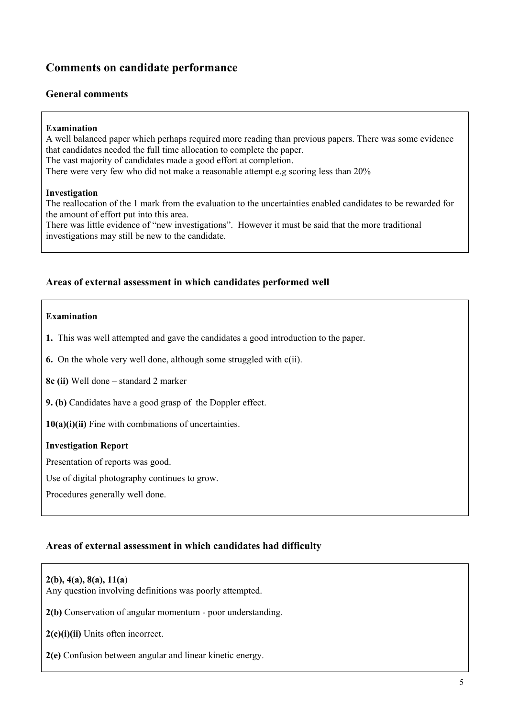## **Comments on candidate performance**

#### **General comments**

#### **Examination**

A well balanced paper which perhaps required more reading than previous papers. There was some evidence that candidates needed the full time allocation to complete the paper. The vast majority of candidates made a good effort at completion. There were very few who did not make a reasonable attempt e.g scoring less than 20%

#### **Investigation**

The reallocation of the 1 mark from the evaluation to the uncertainties enabled candidates to be rewarded for the amount of effort put into this area.

There was little evidence of "new investigations". However it must be said that the more traditional investigations may still be new to the candidate.

### **Areas of external assessment in which candidates performed well**

#### **Examination**

**1.** This was well attempted and gave the candidates a good introduction to the paper.

**6.** On the whole very well done, although some struggled with c(ii).

**8c (ii)** Well done – standard 2 marker

**9. (b)** Candidates have a good grasp of the Doppler effect.

**10(a)(i)(ii)** Fine with combinations of uncertainties.

#### **Investigation Report**

Presentation of reports was good.

Use of digital photography continues to grow.

Procedures generally well done.

## **Areas of external assessment in which candidates had difficulty**

#### **2(b), 4(a), 8(a), 11(a**)

Any question involving definitions was poorly attempted.

**2(b)** Conservation of angular momentum - poor understanding.

**2(c)(i)(ii)** Units often incorrect.

**2(e)** Confusion between angular and linear kinetic energy.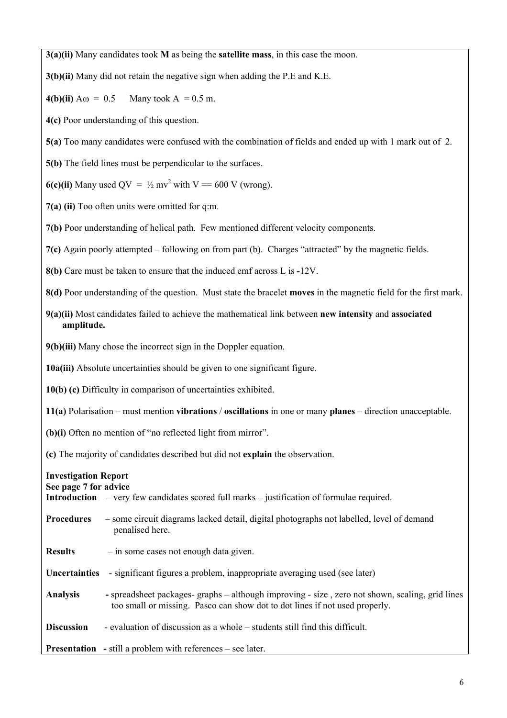**3(a)(ii)** Many candidates took **M** as being the **satellite mass**, in this case the moon.

**3(b)(ii)** Many did not retain the negative sign when adding the P.E and K.E.

**4(b)(ii)**  $A\omega = 0.5$  Many took  $A = 0.5$  m.

**4(c)** Poor understanding of this question.

**5(a)** Too many candidates were confused with the combination of fields and ended up with 1 mark out of 2.

**5(b)** The field lines must be perpendicular to the surfaces.

**6(c)(ii)** Many used  $QV = \frac{1}{2}mv^2$  with  $V = 600$  V (wrong).

**7(a) (ii)** Too often units were omitted for q:m.

**7(b)** Poor understanding of helical path. Few mentioned different velocity components.

**7(c)** Again poorly attempted – following on from part (b). Charges "attracted" by the magnetic fields.

**8(b)** Care must be taken to ensure that the induced emf across L is **-**12V.

**8(d)** Poor understanding of the question. Must state the bracelet **moves** in the magnetic field for the first mark.

**9(a)(ii)** Most candidates failed to achieve the mathematical link between **new intensity** and **associated amplitude.** 

**9(b)(iii)** Many chose the incorrect sign in the Doppler equation.

**10a(iii)** Absolute uncertainties should be given to one significant figure.

**10(b) (c)** Difficulty in comparison of uncertainties exhibited.

**11(a)** Polarisation – must mention **vibrations** / **oscillations** in one or many **planes** – direction unacceptable.

**(b)(i)** Often no mention of "no reflected light from mirror".

**(c)** The majority of candidates described but did not **explain** the observation.

## **Investigation Report**

#### **See page 7 for advice**

| <b>Introduction</b> – very few candidates scored full marks – justification of formulae required. |
|---------------------------------------------------------------------------------------------------|
|---------------------------------------------------------------------------------------------------|

- **Procedures** some circuit diagrams lacked detail, digital photographs not labelled, level of demand penalised here.
- **Results**  in some cases not enough data given.
- **Uncertainties**  significant figures a problem, inappropriate averaging used (see later)
- **Analysis** spreadsheet packages- graphs although improving size , zero not shown, scaling, grid lines too small or missing. Pasco can show dot to dot lines if not used properly.
- **Discussion** evaluation of discussion as a whole students still find this difficult.

**Presentation** - still a problem with references – see later.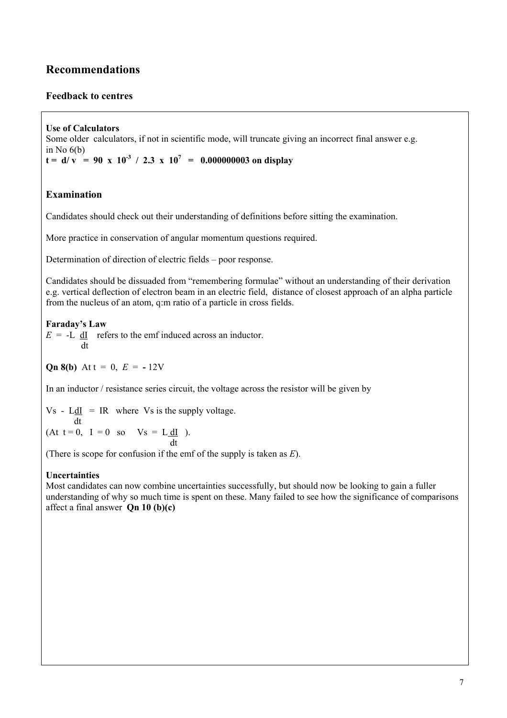## **Recommendations**

## **Feedback to centres**

**Use of Calculators**  Some older calculators, if not in scientific mode, will truncate giving an incorrect final answer e.g. in No  $6(b)$  $t = d/v = 90 \times 10^{-3} / 2.3 \times 10^{7} = 0.000000003$  on display

## **Examination**

Candidates should check out their understanding of definitions before sitting the examination.

More practice in conservation of angular momentum questions required.

Determination of direction of electric fields – poor response.

Candidates should be dissuaded from "remembering formulae" without an understanding of their derivation e.g. vertical deflection of electron beam in an electric field, distance of closest approach of an alpha particle from the nucleus of an atom, q:m ratio of a particle in cross fields.

#### **Faraday's Law**

 $E = -L \, dI$  refers to the emf induced across an inductor. dt

**Qn 8(b)** At  $t = 0$ ,  $E = -12V$ 

In an inductor / resistance series circuit, the voltage across the resistor will be given by

 $Vs - L \underline{dI}$  = IR where Vs is the supply voltage. dt (At  $t = 0$ ,  $I = 0$  so  $Vs = L \underline{dl}$ ). dt

(There is scope for confusion if the emf of the supply is taken as *E*).

#### **Uncertainties**

Most candidates can now combine uncertainties successfully, but should now be looking to gain a fuller understanding of why so much time is spent on these. Many failed to see how the significance of comparisons affect a final answer **Qn 10 (b)(c)**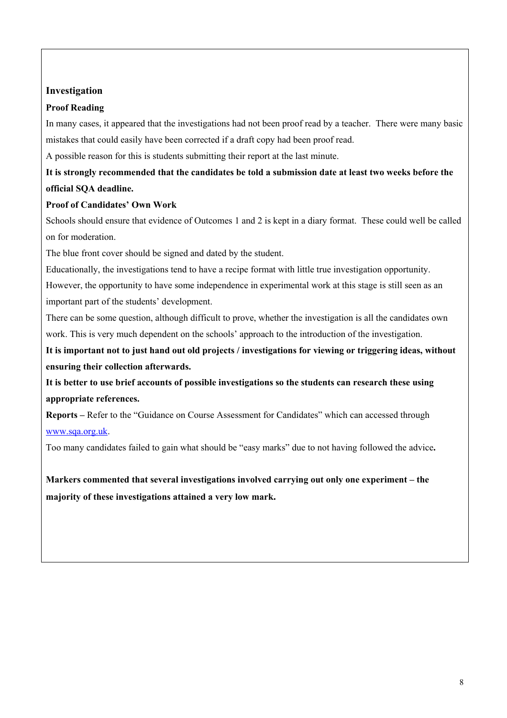## **Investigation**

### **Proof Reading**

In many cases, it appeared that the investigations had not been proof read by a teacher. There were many basic mistakes that could easily have been corrected if a draft copy had been proof read.

A possible reason for this is students submitting their report at the last minute.

## **It is strongly recommended that the candidates be told a submission date at least two weeks before the official SQA deadline.**

## **Proof of Candidates' Own Work**

Schools should ensure that evidence of Outcomes 1 and 2 is kept in a diary format. These could well be called on for moderation.

The blue front cover should be signed and dated by the student.

Educationally, the investigations tend to have a recipe format with little true investigation opportunity.

However, the opportunity to have some independence in experimental work at this stage is still seen as an important part of the students' development.

There can be some question, although difficult to prove, whether the investigation is all the candidates own work. This is very much dependent on the schools' approach to the introduction of the investigation.

**It is important not to just hand out old projects / investigations for viewing or triggering ideas, without ensuring their collection afterwards.** 

**It is better to use brief accounts of possible investigations so the students can research these using appropriate references.** 

**Reports –** Refer to the "Guidance on Course Assessment for Candidates" which can accessed through [www.sqa.org.uk](http://www.sqa.org.uk/).

Too many candidates failed to gain what should be "easy marks" due to not having followed the advice**.** 

**Markers commented that several investigations involved carrying out only one experiment – the majority of these investigations attained a very low mark.**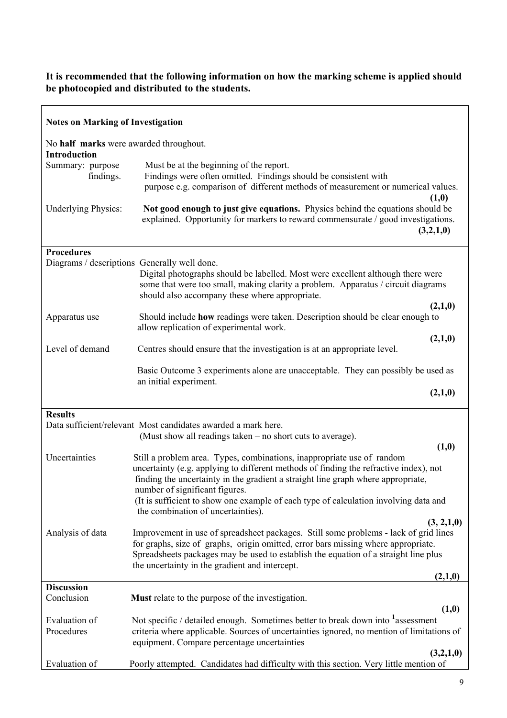### **It is recommended that the following information on how the marking scheme is applied should be photocopied and distributed to the students.**

| <b>Notes on Marking of Investigation</b>                      |                                                                                                                                                                                                                                                                                                                    |
|---------------------------------------------------------------|--------------------------------------------------------------------------------------------------------------------------------------------------------------------------------------------------------------------------------------------------------------------------------------------------------------------|
| No half marks were awarded throughout.<br><b>Introduction</b> |                                                                                                                                                                                                                                                                                                                    |
| Summary: purpose<br>findings.                                 | Must be at the beginning of the report.<br>Findings were often omitted. Findings should be consistent with<br>purpose e.g. comparison of different methods of measurement or numerical values.<br>(1,0)                                                                                                            |
| <b>Underlying Physics:</b>                                    | Not good enough to just give equations. Physics behind the equations should be<br>explained. Opportunity for markers to reward commensurate / good investigations.<br>(3,2,1,0)                                                                                                                                    |
| <b>Procedures</b>                                             |                                                                                                                                                                                                                                                                                                                    |
|                                                               | Diagrams / descriptions Generally well done.<br>Digital photographs should be labelled. Most were excellent although there were<br>some that were too small, making clarity a problem. Apparatus / circuit diagrams<br>should also accompany these where appropriate.<br>(2,1,0)                                   |
| Apparatus use                                                 | Should include how readings were taken. Description should be clear enough to<br>allow replication of experimental work.                                                                                                                                                                                           |
|                                                               | (2,1,0)                                                                                                                                                                                                                                                                                                            |
| Level of demand                                               | Centres should ensure that the investigation is at an appropriate level.                                                                                                                                                                                                                                           |
|                                                               | Basic Outcome 3 experiments alone are unacceptable. They can possibly be used as<br>an initial experiment.                                                                                                                                                                                                         |
|                                                               | (2,1,0)                                                                                                                                                                                                                                                                                                            |
|                                                               |                                                                                                                                                                                                                                                                                                                    |
| <b>Results</b>                                                | Data sufficient/relevant Most candidates awarded a mark here.                                                                                                                                                                                                                                                      |
|                                                               | (Must show all readings taken – no short cuts to average).                                                                                                                                                                                                                                                         |
|                                                               | (1, 0)                                                                                                                                                                                                                                                                                                             |
| Uncertainties                                                 | Still a problem area. Types, combinations, inappropriate use of random<br>uncertainty (e.g. applying to different methods of finding the refractive index), not<br>finding the uncertainty in the gradient a straight line graph where appropriate,<br>number of significant figures.                              |
|                                                               | (It is sufficient to show one example of each type of calculation involving data and<br>the combination of uncertainties).                                                                                                                                                                                         |
|                                                               | (3, 2, 1, 0)                                                                                                                                                                                                                                                                                                       |
| Analysis of data                                              | Improvement in use of spreadsheet packages. Still some problems - lack of grid lines<br>for graphs, size of graphs, origin omitted, error bars missing where appropriate.<br>Spreadsheets packages may be used to establish the equation of a straight line plus<br>the uncertainty in the gradient and intercept. |
|                                                               | (2,1,0)                                                                                                                                                                                                                                                                                                            |
| <b>Discussion</b><br>Conclusion                               | <b>Must</b> relate to the purpose of the investigation.                                                                                                                                                                                                                                                            |
| Evaluation of                                                 | (1,0)<br>Not specific / detailed enough. Sometimes better to break down into <sup>1</sup> assessment                                                                                                                                                                                                               |
| Procedures                                                    | criteria where applicable. Sources of uncertainties ignored, no mention of limitations of<br>equipment. Compare percentage uncertainties                                                                                                                                                                           |
| Evaluation of                                                 | (3,2,1,0)<br>Poorly attempted. Candidates had difficulty with this section. Very little mention of                                                                                                                                                                                                                 |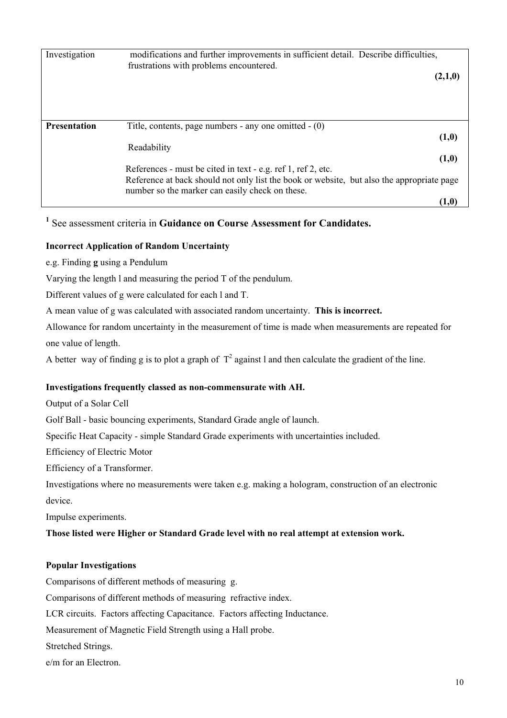| Investigation       | modifications and further improvements in sufficient detail. Describe difficulties,<br>frustrations with problems encountered.               |  |  |
|---------------------|----------------------------------------------------------------------------------------------------------------------------------------------|--|--|
|                     | (2,1,0)                                                                                                                                      |  |  |
|                     |                                                                                                                                              |  |  |
|                     |                                                                                                                                              |  |  |
| <b>Presentation</b> | Title, contents, page numbers - any one omitted $- (0)$                                                                                      |  |  |
|                     | (1,0)                                                                                                                                        |  |  |
|                     | Readability                                                                                                                                  |  |  |
|                     | (1,0)                                                                                                                                        |  |  |
|                     | References - must be cited in text - e.g. ref 1, ref 2, etc.                                                                                 |  |  |
|                     | Reference at back should not only list the book or website, but also the appropriate page<br>number so the marker can easily check on these. |  |  |
|                     | $(1,\!0)$                                                                                                                                    |  |  |

## **1** See assessment criteria in **Guidance on Course Assessment for Candidates.**

#### **Incorrect Application of Random Uncertainty**

e.g. Finding **g** using a Pendulum

Varying the length l and measuring the period T of the pendulum.

Different values of g were calculated for each l and T.

A mean value of g was calculated with associated random uncertainty. **This is incorrect.**

Allowance for random uncertainty in the measurement of time is made when measurements are repeated for one value of length.

A better way of finding g is to plot a graph of  $T^2$  against l and then calculate the gradient of the line.

#### **Investigations frequently classed as non-commensurate with AH.**

Output of a Solar Cell

Golf Ball - basic bouncing experiments, Standard Grade angle of launch.

Specific Heat Capacity - simple Standard Grade experiments with uncertainties included.

Efficiency of Electric Motor

Efficiency of a Transformer.

Investigations where no measurements were taken e.g. making a hologram, construction of an electronic device.

Impulse experiments.

#### **Those listed were Higher or Standard Grade level with no real attempt at extension work.**

#### **Popular Investigations**

Comparisons of different methods of measuring g.

Comparisons of different methods of measuring refractive index.

LCR circuits. Factors affecting Capacitance. Factors affecting Inductance.

Measurement of Magnetic Field Strength using a Hall probe.

Stretched Strings.

e/m for an Electron.